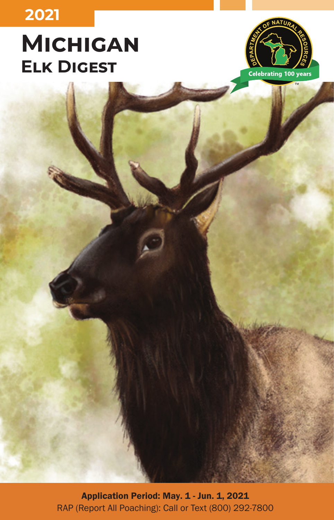# **2021**

# **Michigan Elk Digest**



Application Period: May. 1 - Jun. 1, 2021 RAP (Report All Poaching): Call or Text (800) 292-7800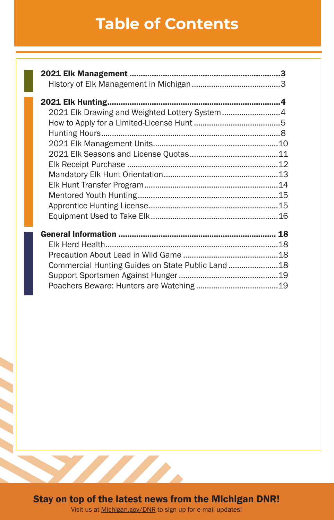# **Table of Contents**

| 2021 Elk Drawing and Weighted Lottery System4 |  |
|-----------------------------------------------|--|
|                                               |  |
|                                               |  |
|                                               |  |
|                                               |  |
|                                               |  |
|                                               |  |
|                                               |  |
|                                               |  |
|                                               |  |
|                                               |  |
|                                               |  |
|                                               |  |
|                                               |  |
|                                               |  |
|                                               |  |
|                                               |  |



Visit us at [Michigan.gov/DNR](http://Michigan.gov/DNR) to sign up for e-mail updates!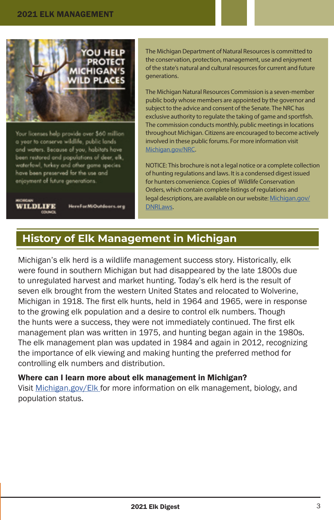<span id="page-2-0"></span>

Your licenses help provide over \$60 million a year to conserve wildlife, public lands and waters. Because of you, habitats have been restored and populations of deer, elk, waterfowl, turkey and other game species have been preserved for the use and enjoyment of future generations.



HereForMiOutdoors.org

The Michigan Department of Natural Resources is committed to the conservation, protection, management, use and enjoyment of the state's natural and cultural resources for current and future generations.

The Michigan Natural Resources Commission is a seven-member public body whose members are appointed by the governor and subject to the advice and consent of the Senate. The NRC has exclusive authority to regulate the taking of game and sportfish. The commission conducts monthly, public meetings in locations throughout Michigan. Citizens are encouraged to become actively involved in these public forums. For more information visit [Michigan.gov/NRC.](http://Michigan.gov/NRC)

NOTICE: This brochure is not a legal notice or a complete collection of hunting regulations and laws. It is a condensed digest issued for hunters convenience. Copies of Wildlife Conservation Orders, which contain complete listings of regulations and legal descriptions, are available on our website: [Michigan.gov/](http://Michigan.gov/DNRLaws) [DNRLaws.](http://Michigan.gov/DNRLaws)

# **History of Elk Management in Michigan**

Michigan's elk herd is a wildlife management success story. Historically, elk were found in southern Michigan but had disappeared by the late 1800s due to unregulated harvest and market hunting. Today's elk herd is the result of seven elk brought from the western United States and relocated to Wolverine, Michigan in 1918. The first elk hunts, held in 1964 and 1965, were in response to the growing elk population and a desire to control elk numbers. Though the hunts were a success, they were not immediately continued. The first elk management plan was written in 1975, and hunting began again in the 1980s. The elk management plan was updated in 1984 and again in 2012, recognizing the importance of elk viewing and making hunting the preferred method for controlling elk numbers and distribution.

#### Where can I learn more about elk management in Michigan?

Visit [Michigan.gov/Elk](http://Michigan.gov/Elk ) for more information on elk management, biology, and population status.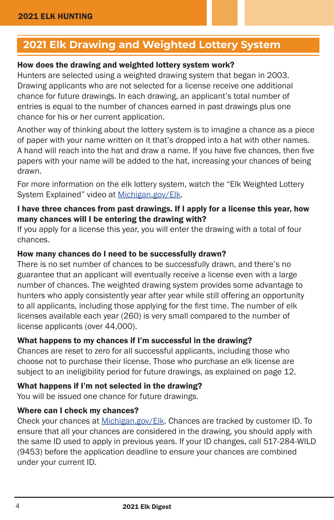# <span id="page-3-0"></span>**2021 Elk Drawing and Weighted Lottery System**

#### How does the drawing and weighted lottery system work?

Hunters are selected using a weighted drawing system that began in 2003. Drawing applicants who are not selected for a license receive one additional chance for future drawings. In each drawing, an applicant's total number of entries is equal to the number of chances earned in past drawings plus one chance for his or her current application.

Another way of thinking about the lottery system is to imagine a chance as a piece of paper with your name written on it that's dropped into a hat with other names. A hand will reach into the hat and draw a name. If you have five chances, then five papers with your name will be added to the hat, increasing your chances of being drawn.

For more information on the elk lottery system, watch the "Elk Weighted Lottery System Explained" video at [Michigan.gov/Elk](http://Michigan.gov/Elk).

#### I have three chances from past drawings. If I apply for a license this year, how many chances will I be entering the drawing with?

If you apply for a license this year, you will enter the drawing with a total of four chances.

#### How many chances do I need to be successfully drawn?

There is no set number of chances to be successfully drawn, and there's no guarantee that an applicant will eventually receive a license even with a large number of chances. The weighted drawing system provides some advantage to hunters who apply consistently year after year while still offering an opportunity to all applicants, including those applying for the first time. The number of elk licenses available each year (260) is very small compared to the number of license applicants (over 44,000).

#### What happens to my chances if I'm successful in the drawing?

Chances are reset to zero for all successful applicants, including those who choose not to purchase their license. Those who purchase an elk license are subject to an ineligibility period for future drawings, as explained on page 12.

#### What happens if I'm not selected in the drawing?

You will be issued one chance for future drawings.

#### Where can I check my chances?

Check your chances at [Michigan.gov/Elk](http://Michigan.gov/Elk). Chances are tracked by customer ID. To ensure that all your chances are considered in the drawing, you should apply with the same ID used to apply in previous years. If your ID changes, call 517-284-WILD (9453) before the application deadline to ensure your chances are combined under your current ID.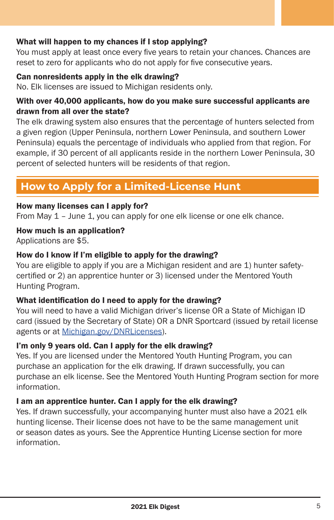#### <span id="page-4-0"></span>What will happen to my chances if I stop applying?

You must apply at least once every five years to retain your chances. Chances are reset to zero for applicants who do not apply for five consecutive years.

#### Can nonresidents apply in the elk drawing?

No. Elk licenses are issued to Michigan residents only.

#### With over 40,000 applicants, how do you make sure successful applicants are drawn from all over the state?

The elk drawing system also ensures that the percentage of hunters selected from a given region (Upper Peninsula, northern Lower Peninsula, and southern Lower Peninsula) equals the percentage of individuals who applied from that region. For example, if 30 percent of all applicants reside in the northern Lower Peninsula, 30 percent of selected hunters will be residents of that region.

# **How to Apply for a Limited-License Hunt**

#### How many licenses can I apply for?

From May 1 – June 1, you can apply for one elk license or one elk chance.

How much is an application?

Applications are \$5.

#### How do I know if I'm eligible to apply for the drawing?

You are eligible to apply if you are a Michigan resident and are 1) hunter safetycertified or 2) an apprentice hunter or 3) licensed under the Mentored Youth Hunting Program.

#### What identification do I need to apply for the drawing?

You will need to have a valid Michigan driver's license OR a State of Michigan ID card (issued by the Secretary of State) OR a DNR Sportcard (issued by retail license agents or at [Michigan.gov/DNRLicenses\)](http://Michigan.gov/DNRLicenses).

#### I'm only 9 years old. Can I apply for the elk drawing?

Yes. If you are licensed under the Mentored Youth Hunting Program, you can purchase an application for the elk drawing. If drawn successfully, you can purchase an elk license. See the Mentored Youth Hunting Program section for more information.

#### I am an apprentice hunter. Can I apply for the elk drawing?

Yes. If drawn successfully, your accompanying hunter must also have a 2021 elk hunting license. Their license does not have to be the same management unit or season dates as yours. See the Apprentice Hunting License section for more information.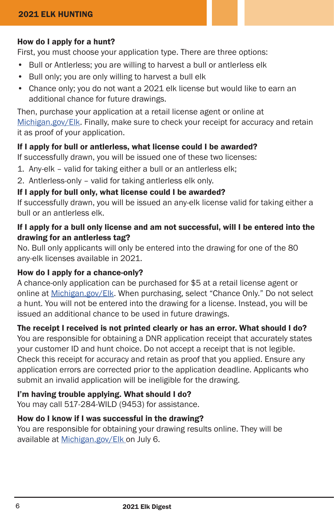#### How do I apply for a hunt?

First, you must choose your application type. There are three options:

- Bull or Antlerless; you are willing to harvest a bull or antlerless elk
- Bull only; you are only willing to harvest a bull elk
- Chance only; you do not want a 2021 elk license but would like to earn an additional chance for future drawings.

Then, purchase your application at a retail license agent or online at [Michigan.gov/Elk.](http://Michigan.gov/Elk) Finally, make sure to check your receipt for accuracy and retain it as proof of your application.

#### If I apply for bull or antlerless, what license could I be awarded?

If successfully drawn, you will be issued one of these two licenses:

- 1. Any-elk valid for taking either a bull or an antlerless elk;
- 2. Antlerless-only valid for taking antlerless elk only.

#### If I apply for bull only, what license could I be awarded?

If successfully drawn, you will be issued an any-elk license valid for taking either a bull or an antlerless elk.

#### If I apply for a bull only license and am not successful, will I be entered into the drawing for an antlerless tag?

No. Bull only applicants will only be entered into the drawing for one of the 80 any-elk licenses available in 2021.

#### How do I apply for a chance-only?

A chance-only application can be purchased for \$5 at a retail license agent or online at [Michigan.gov/Elk.](http://Michigan.gov/Elk) When purchasing, select "Chance Only." Do not select a hunt. You will not be entered into the drawing for a license. Instead, you will be issued an additional chance to be used in future drawings.

#### The receipt I received is not printed clearly or has an error. What should I do?

You are responsible for obtaining a DNR application receipt that accurately states your customer ID and hunt choice. Do not accept a receipt that is not legible. Check this receipt for accuracy and retain as proof that you applied. Ensure any application errors are corrected prior to the application deadline. Applicants who submit an invalid application will be ineligible for the drawing.

#### I'm having trouble applying. What should I do?

You may call 517-284-WILD (9453) for assistance.

#### How do I know if I was successful in the drawing?

You are responsible for obtaining your drawing results online. They will be available at [Michigan.gov/Elk](http://Michigan.gov/Elk ) on July 6.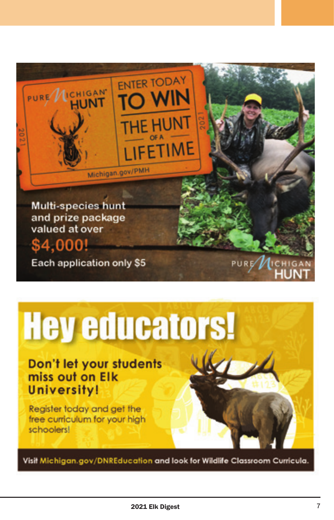

# **Hey educators!**

Don't let your students miss out on Elk **University!** 

Register today and get the free curriculum for your high schoolers!

Visit Michigan.gov/DNREducation and look for Wildlife Classroom Curricula.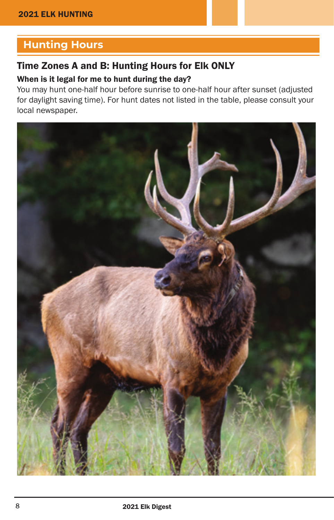# <span id="page-7-0"></span>**Hunting Hours**

#### Time Zones A and B: Hunting Hours for Elk ONLY

#### When is it legal for me to hunt during the day?

You may hunt one-half hour before sunrise to one-half hour after sunset (adjusted for daylight saving time). For hunt dates not listed in the table, please consult your local newspaper.

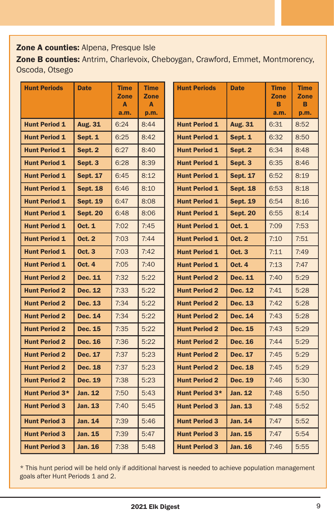#### Zone A counties: Alpena, Presque Isle

Zone B counties: Antrim, Charlevoix, Cheboygan, Crawford, Emmet, Montmorency, Oscoda, Otsego

| <b>Hunt Periods</b>  | <b>Date</b>     | <b>Time</b><br>Zone<br>A<br>a.m. | <b>Time</b><br><b>Zone</b><br>A<br>p.m. | <b>Hunt Periods</b>  | <b>Date</b>     | <b>Time</b><br><b>Zone</b><br>B<br>a.m. | <b>Time</b><br><b>Zone</b><br>B<br>p.m. |
|----------------------|-----------------|----------------------------------|-----------------------------------------|----------------------|-----------------|-----------------------------------------|-----------------------------------------|
| <b>Hunt Period 1</b> | Aug. 31         | 6:24                             | 8:44                                    | <b>Hunt Period 1</b> | Aug. 31         | 6:31                                    | 8:52                                    |
| <b>Hunt Period 1</b> | Sept. 1         | 6:25                             | 8:42                                    | <b>Hunt Period 1</b> | Sept. 1         | 6:32                                    | 8:50                                    |
| <b>Hunt Period 1</b> | Sept. 2         | 6:27                             | 8:40                                    | <b>Hunt Period 1</b> | Sept. 2         | 6:34                                    | 8:48                                    |
| <b>Hunt Period 1</b> | Sept. 3         | 6:28                             | 8:39                                    | <b>Hunt Period 1</b> | Sept. 3         | 6:35                                    | 8:46                                    |
| <b>Hunt Period 1</b> | <b>Sept. 17</b> | 6:45                             | 8:12                                    | <b>Hunt Period 1</b> | <b>Sept. 17</b> | 6:52                                    | 8:19                                    |
| <b>Hunt Period 1</b> | <b>Sept. 18</b> | 6:46                             | 8:10                                    | <b>Hunt Period 1</b> | <b>Sept. 18</b> | 6:53                                    | 8:18                                    |
| <b>Hunt Period 1</b> | <b>Sept. 19</b> | 6:47                             | 8:08                                    | <b>Hunt Period 1</b> | <b>Sept. 19</b> | 6:54                                    | 8:16                                    |
| <b>Hunt Period 1</b> | <b>Sept. 20</b> | 6:48                             | 8:06                                    | <b>Hunt Period 1</b> | <b>Sept. 20</b> | 6:55                                    | 8:14                                    |
| <b>Hunt Period 1</b> | <b>Oct. 1</b>   | 7:02                             | 7:45                                    | <b>Hunt Period 1</b> | <b>Oct. 1</b>   | 7:09                                    | 7:53                                    |
| <b>Hunt Period 1</b> | <b>Oct. 2</b>   | 7:03                             | 7:44                                    | <b>Hunt Period 1</b> | <b>Oct. 2</b>   | 7:10                                    | 7:51                                    |
| <b>Hunt Period 1</b> | <b>Oct. 3</b>   | 7:03                             | 7:42                                    | <b>Hunt Period 1</b> | <b>Oct. 3</b>   | 7:11                                    | 7:49                                    |
| <b>Hunt Period 1</b> | <b>Oct. 4</b>   | 7:05                             | 7:40                                    | <b>Hunt Period 1</b> | <b>Oct. 4</b>   | 7:13                                    | 7:47                                    |
| <b>Hunt Period 2</b> | <b>Dec. 11</b>  | 7:32                             | 5:22                                    | <b>Hunt Period 2</b> | <b>Dec. 11</b>  | 7:40                                    | 5:29                                    |
| <b>Hunt Period 2</b> | <b>Dec. 12</b>  | 7:33                             | 5:22                                    | <b>Hunt Period 2</b> | <b>Dec. 12</b>  | 7:41                                    | 5:28                                    |
| <b>Hunt Period 2</b> | Dec. 13         | 7:34                             | 5:22                                    | <b>Hunt Period 2</b> | <b>Dec. 13</b>  | 7:42                                    | 5:28                                    |
| <b>Hunt Period 2</b> | <b>Dec. 14</b>  | 7:34                             | 5:22                                    | <b>Hunt Period 2</b> | <b>Dec. 14</b>  | 7:43                                    | 5:28                                    |
| <b>Hunt Period 2</b> | Dec. 15         | 7:35                             | 5:22                                    | <b>Hunt Period 2</b> | Dec. 15         | 7:43                                    | 5:29                                    |
| <b>Hunt Period 2</b> | Dec. 16         | 7:36                             | 5:22                                    | <b>Hunt Period 2</b> | <b>Dec. 16</b>  | 7:44                                    | 5:29                                    |
| <b>Hunt Period 2</b> | <b>Dec. 17</b>  | 7:37                             | 5:23                                    | <b>Hunt Period 2</b> | <b>Dec. 17</b>  | 7:45                                    | 5:29                                    |
| <b>Hunt Period 2</b> | <b>Dec. 18</b>  | 7:37                             | 5:23                                    | <b>Hunt Period 2</b> | <b>Dec. 18</b>  | 7:45                                    | 5:29                                    |
| <b>Hunt Period 2</b> | <b>Dec. 19</b>  | 7:38                             | 5:23                                    | <b>Hunt Period 2</b> | <b>Dec. 19</b>  | 7:46                                    | 5:30                                    |
| Hunt Period 3*       | <b>Jan. 12</b>  | 7:50                             | 5:43                                    | Hunt Period 3*       | <b>Jan. 12</b>  | 7:48                                    | 5:50                                    |
| <b>Hunt Period 3</b> | <b>Jan. 13</b>  | 7:40                             | 5:45                                    | <b>Hunt Period 3</b> | <b>Jan. 13</b>  | 7:48                                    | 5:52                                    |
| <b>Hunt Period 3</b> | <b>Jan. 14</b>  | 7:39                             | 5:46                                    | <b>Hunt Period 3</b> | <b>Jan. 14</b>  | 7:47                                    | 5:52                                    |
| <b>Hunt Period 3</b> | <b>Jan. 15</b>  | 7:39                             | 5:47                                    | <b>Hunt Period 3</b> | <b>Jan. 15</b>  | 7:47                                    | 5:54                                    |
| <b>Hunt Period 3</b> | <b>Jan. 16</b>  | 7:38                             | 5:48                                    | <b>Hunt Period 3</b> | <b>Jan. 16</b>  | 7:46                                    | 5:55                                    |

\* This hunt period will be held only if additional harvest is needed to achieve population management goals after Hunt Periods 1 and 2.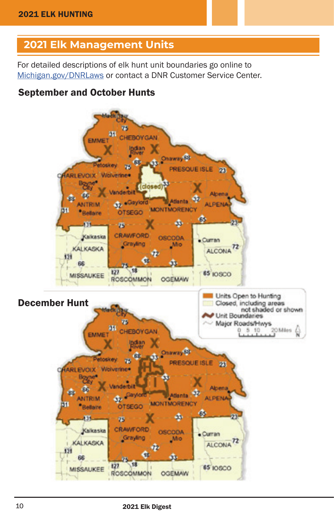# <span id="page-9-0"></span>**2021 Elk Management Units**

For detailed descriptions of elk hunt unit boundaries go online to [Michigan.gov/DNRLaws](http://Michigan.gov/DNRLaws) or contact a DNR Customer Service Center.

## September and October Hunts

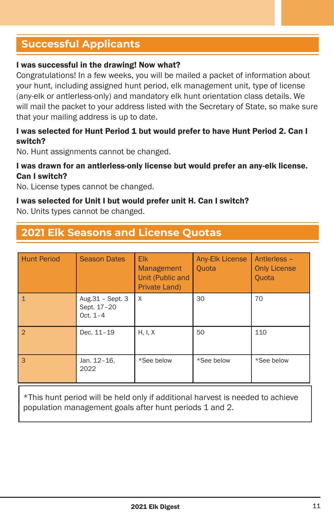# <span id="page-10-0"></span>**Successful Applicants**

#### I was successful in the drawing! Now what?

Congratulations! In a few weeks, you will be mailed a packet of information about your hunt, including assigned hunt period, elk management unit, type of license (any-elk or antlerless-only) and mandatory elk hunt orientation class details. We will mail the packet to your address listed with the Secretary of State, so make sure that your mailing address is up to date.

#### I was selected for Hunt Period 1 but would prefer to have Hunt Period 2. Can I switch?

No. Hunt assignments cannot be changed.

#### I was drawn for an antlerless-only license but would prefer an any-elk license. Can I switch?

No. License types cannot be changed.

#### I was selected for Unit I but would prefer unit H. Can I switch?

No. Units types cannot be changed.

### **2021 Elk Seasons and License Quotas**

| <b>Hunt Period</b> | <b>Season Dates</b>                           | <b>Elk</b><br><b>Management</b><br>Unit (Public and<br>Private Land) | Any-Elk License<br>Quota | Antierless -<br><b>Only License</b><br><b>Quota</b> |
|--------------------|-----------------------------------------------|----------------------------------------------------------------------|--------------------------|-----------------------------------------------------|
| $\mathbf{1}$       | Aug.31 - Sept. 3<br>Sept. 17-20<br>Oct. $1-4$ | X                                                                    | 30                       | 70                                                  |
| $\overline{2}$     | Dec. 11-19                                    | H, I, X                                                              | 50                       | 110                                                 |
| 3                  | Jan. 12-16,<br>2022                           | *See below                                                           | *See below               | *See below                                          |

\*This hunt period will be held only if additional harvest is needed to achieve population management goals after hunt periods 1 and 2.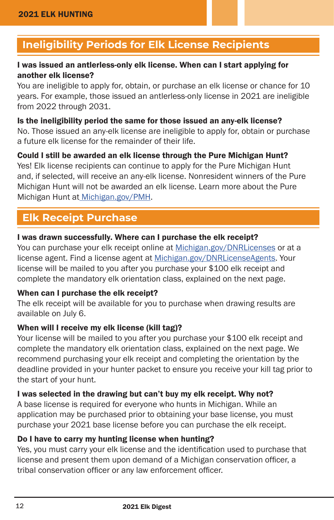# <span id="page-11-0"></span>**Ineligibility Periods for Elk License Recipients**

#### I was issued an antlerless-only elk license. When can I start applying for another elk license?

You are ineligible to apply for, obtain, or purchase an elk license or chance for 10 years. For example, those issued an antlerless-only license in 2021 are ineligible from 2022 through 2031.

#### Is the ineligibility period the same for those issued an any-elk license? No. Those issued an any-elk license are ineligible to apply for, obtain or purchase a future elk license for the remainder of their life.

Could I still be awarded an elk license through the Pure Michigan Hunt? Yes! Elk license recipients can continue to apply for the Pure Michigan Hunt and, if selected, will receive an any-elk license. Nonresident winners of the Pure Michigan Hunt will not be awarded an elk license. Learn more about the Pure Michigan Hunt a[t Michigan.gov/PMH.](http:// Michigan.gov/PMH)

# **Elk Receipt Purchase**

#### I was drawn successfully. Where can I purchase the elk receipt?

You can purchase your elk receipt online at [Michigan.gov/DNRLicenses](http://Michigan.gov/DNRLicenses) or at a license agent. Find a license agent at [Michigan.gov/DNRLicenseAgents](http://Michigan.gov/DNRLicenseAgents). Your license will be mailed to you after you purchase your \$100 elk receipt and complete the mandatory elk orientation class, explained on the next page.

#### When can I purchase the elk receipt?

The elk receipt will be available for you to purchase when drawing results are available on July 6.

#### When will I receive my elk license (kill tag)?

Your license will be mailed to you after you purchase your \$100 elk receipt and complete the mandatory elk orientation class, explained on the next page. We recommend purchasing your elk receipt and completing the orientation by the deadline provided in your hunter packet to ensure you receive your kill tag prior to the start of your hunt.

#### I was selected in the drawing but can't buy my elk receipt. Why not?

A base license is required for everyone who hunts in Michigan. While an application may be purchased prior to obtaining your base license, you must purchase your 2021 base license before you can purchase the elk receipt.

#### Do I have to carry my hunting license when hunting?

Yes, you must carry your elk license and the identification used to purchase that license and present them upon demand of a Michigan conservation officer, a tribal conservation officer or any law enforcement officer.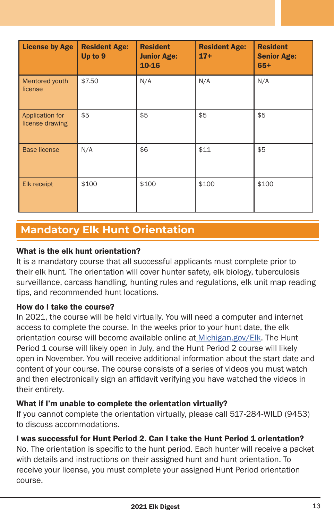<span id="page-12-0"></span>

| <b>License by Age</b>              | <b>Resident Age:</b><br>Up to 9 | <b>Resident</b><br><b>Junior Age:</b><br>10-16 | <b>Resident Age:</b><br>$17+$ | <b>Resident</b><br><b>Senior Age:</b><br>$65+$ |
|------------------------------------|---------------------------------|------------------------------------------------|-------------------------------|------------------------------------------------|
| Mentored youth<br>license          | \$7.50                          | N/A                                            | N/A                           | N/A                                            |
| Application for<br>license drawing | \$5                             | \$5                                            | \$5                           | \$5                                            |
| <b>Base license</b>                | N/A                             | \$6                                            | \$11                          | \$5                                            |
| Elk receipt                        | \$100                           | \$100                                          | \$100                         | \$100                                          |

# **Mandatory Elk Hunt Orientation**

#### What is the elk hunt orientation?

It is a mandatory course that all successful applicants must complete prior to their elk hunt. The orientation will cover hunter safety, elk biology, tuberculosis surveillance, carcass handling, hunting rules and regulations, elk unit map reading tips, and recommended hunt locations.

#### How do I take the course?

In 2021, the course will be held virtually. You will need a computer and internet access to complete the course. In the weeks prior to your hunt date, the elk orientation course will become available online a[t Michigan.gov/Elk](http:// Michigan.gov/Elk). The Hunt Period 1 course will likely open in July, and the Hunt Period 2 course will likely open in November. You will receive additional information about the start date and content of your course. The course consists of a series of videos you must watch and then electronically sign an affidavit verifying you have watched the videos in their entirety.

#### What if I'm unable to complete the orientation virtually?

If you cannot complete the orientation virtually, please call 517-284-WILD (9453) to discuss accommodations.

#### I was successful for Hunt Period 2. Can I take the Hunt Period 1 orientation?

No. The orientation is specific to the hunt period. Each hunter will receive a packet with details and instructions on their assigned hunt and hunt orientation. To receive your license, you must complete your assigned Hunt Period orientation course.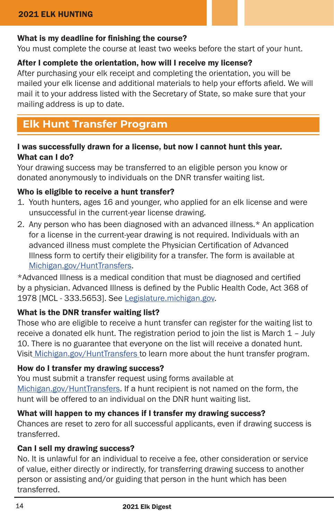#### <span id="page-13-0"></span>What is my deadline for finishing the course?

You must complete the course at least two weeks before the start of your hunt.

#### After I complete the orientation, how will I receive my license?

After purchasing your elk receipt and completing the orientation, you will be mailed your elk license and additional materials to help your efforts afield. We will mail it to your address listed with the Secretary of State, so make sure that your mailing address is up to date.

## **Elk Hunt Transfer Program**

#### I was successfully drawn for a license, but now I cannot hunt this year. What can I do?

Your drawing success may be transferred to an eligible person you know or donated anonymously to individuals on the DNR transfer waiting list.

#### Who is eligible to receive a hunt transfer?

- 1. Youth hunters, ages 16 and younger, who applied for an elk license and were unsuccessful in the current-year license drawing.
- 2. Any person who has been diagnosed with an advanced illness.\* An application for a license in the current-year drawing is not required. Individuals with an advanced illness must complete the Physician Certification of Advanced Illness form to certify their eligibility for a transfer. The form is available at [Michigan.gov/HuntTransfers](http://Michigan.gov/HuntTransfers).

\*Advanced Illness is a medical condition that must be diagnosed and certified by a physician. Advanced Illness is defined by the Public Health Code, Act 368 of 1978 [MCL - 333.5653]. See [Legislature.michigan.gov.](http://Legislature.michigan.gov)

#### What is the DNR transfer waiting list?

Those who are eligible to receive a hunt transfer can register for the waiting list to receive a donated elk hunt. The registration period to join the list is March 1 – July 10. There is no guarantee that everyone on the list will receive a donated hunt. Visit [Michigan.gov/HuntTransfers t](http://Michigan.gov/HuntTransfers )o learn more about the hunt transfer program.

#### How do I transfer my drawing success?

You must submit a transfer request using forms available at [Michigan.gov/HuntTransfers.](http://Michigan.gov/HuntTransfers) If a hunt recipient is not named on the form, the hunt will be offered to an individual on the DNR hunt waiting list.

#### What will happen to my chances if I transfer my drawing success?

Chances are reset to zero for all successful applicants, even if drawing success is transferred.

#### Can I sell my drawing success?

No. It is unlawful for an individual to receive a fee, other consideration or service of value, either directly or indirectly, for transferring drawing success to another person or assisting and/or guiding that person in the hunt which has been transferred.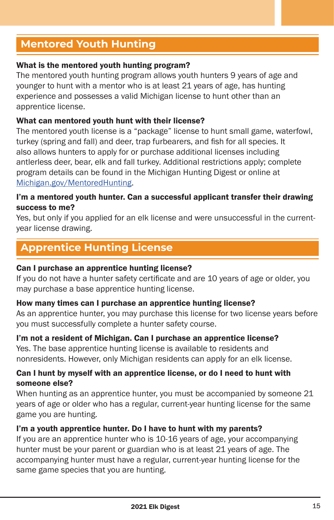# <span id="page-14-0"></span>**Mentored Youth Hunting**

#### What is the mentored youth hunting program?

The mentored youth hunting program allows youth hunters 9 years of age and younger to hunt with a mentor who is at least 21 years of age, has hunting experience and possesses a valid Michigan license to hunt other than an apprentice license.

#### What can mentored youth hunt with their license?

The mentored youth license is a "package" license to hunt small game, waterfowl, turkey (spring and fall) and deer, trap furbearers, and fish for all species. It also allows hunters to apply for or purchase additional licenses including antlerless deer, bear, elk and fall turkey. Additional restrictions apply; complete program details can be found in the Michigan Hunting Digest or online at [Michigan.gov/MentoredHunting](http://Michigan.gov/MentoredHunting).

#### I'm a mentored youth hunter. Can a successful applicant transfer their drawing success to me?

Yes, but only if you applied for an elk license and were unsuccessful in the currentyear license drawing.

# **Apprentice Hunting License**

#### Can I purchase an apprentice hunting license?

If you do not have a hunter safety certificate and are 10 years of age or older, you may purchase a base apprentice hunting license.

#### How many times can I purchase an apprentice hunting license?

As an apprentice hunter, you may purchase this license for two license years before you must successfully complete a hunter safety course.

#### I'm not a resident of Michigan. Can I purchase an apprentice license?

Yes. The base apprentice hunting license is available to residents and nonresidents. However, only Michigan residents can apply for an elk license.

#### Can I hunt by myself with an apprentice license, or do I need to hunt with someone else?

When hunting as an apprentice hunter, you must be accompanied by someone 21 years of age or older who has a regular, current-year hunting license for the same game you are hunting.

#### I'm a youth apprentice hunter. Do I have to hunt with my parents?

If you are an apprentice hunter who is 10-16 years of age, your accompanying hunter must be your parent or guardian who is at least 21 years of age. The accompanying hunter must have a regular, current-year hunting license for the same game species that you are hunting.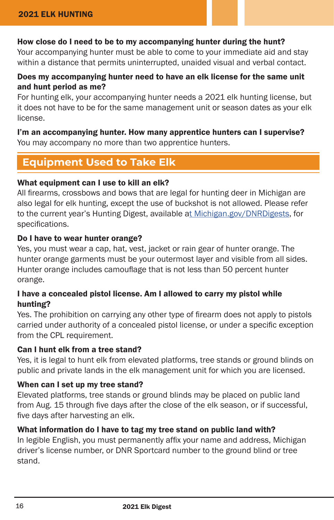#### <span id="page-15-0"></span>How close do I need to be to my accompanying hunter during the hunt?

Your accompanying hunter must be able to come to your immediate aid and stay within a distance that permits uninterrupted, unaided visual and verbal contact.

#### Does my accompanying hunter need to have an elk license for the same unit and hunt period as me?

For hunting elk, your accompanying hunter needs a 2021 elk hunting license, but it does not have to be for the same management unit or season dates as your elk license.

I'm an accompanying hunter. How many apprentice hunters can I supervise? You may accompany no more than two apprentice hunters.

# **Equipment Used to Take Elk**

#### What equipment can I use to kill an elk?

All firearms, crossbows and bows that are legal for hunting deer in Michigan are also legal for elk hunting, except the use of buckshot is not allowed. Please refer to the current year's Hunting Digest, available [at Michigan.gov/DNRDigests](http://t Michigan.gov/DNRDigests), for specifications.

#### Do I have to wear hunter orange?

Yes, you must wear a cap, hat, vest, jacket or rain gear of hunter orange. The hunter orange garments must be your outermost layer and visible from all sides. Hunter orange includes camouflage that is not less than 50 percent hunter orange.

#### I have a concealed pistol license. Am I allowed to carry my pistol while hunting?

Yes. The prohibition on carrying any other type of firearm does not apply to pistols carried under authority of a concealed pistol license, or under a specific exception from the CPL requirement.

#### Can I hunt elk from a tree stand?

Yes, it is legal to hunt elk from elevated platforms, tree stands or ground blinds on public and private lands in the elk management unit for which you are licensed.

#### When can I set up my tree stand?

Elevated platforms, tree stands or ground blinds may be placed on public land from Aug. 15 through five days after the close of the elk season, or if successful, five days after harvesting an elk.

#### What information do I have to tag my tree stand on public land with?

In legible English, you must permanently affix your name and address, Michigan driver's license number, or DNR Sportcard number to the ground blind or tree stand.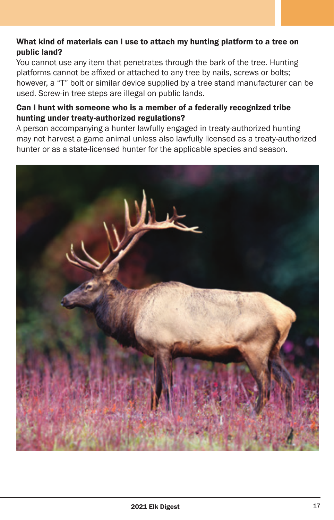#### What kind of materials can I use to attach my hunting platform to a tree on public land?

You cannot use any item that penetrates through the bark of the tree. Hunting platforms cannot be affixed or attached to any tree by nails, screws or bolts; however, a "T" bolt or similar device supplied by a tree stand manufacturer can be used. Screw-in tree steps are illegal on public lands.

#### Can I hunt with someone who is a member of a federally recognized tribe hunting under treaty-authorized regulations?

A person accompanying a hunter lawfully engaged in treaty-authorized hunting may not harvest a game animal unless also lawfully licensed as a treaty-authorized hunter or as a state-licensed hunter for the applicable species and season.

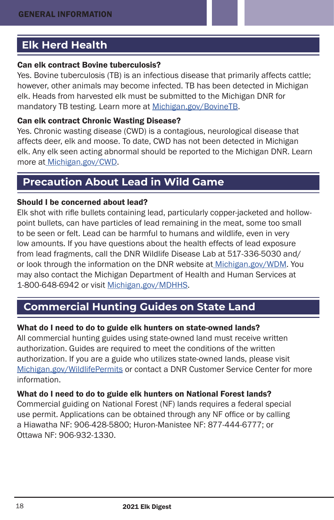# <span id="page-17-0"></span>**Elk Herd Health**

#### Can elk contract Bovine tuberculosis?

Yes. Bovine tuberculosis (TB) is an infectious disease that primarily affects cattle; however, other animals may become infected. TB has been detected in Michigan elk. Heads from harvested elk must be submitted to the Michigan DNR for mandatory TB testing. Learn more at [Michigan.gov/BovineTB.](http://Michigan.gov/BovineTB)

#### Can elk contract Chronic Wasting Disease?

Yes. Chronic wasting disease (CWD) is a contagious, neurological disease that affects deer, elk and moose. To date, CWD has not been detected in Michigan elk. Any elk seen acting abnormal should be reported to the Michigan DNR. Learn more at [Michigan.gov/CWD](http://Michigan.gov/CWD).

# **Precaution About Lead in Wild Game**

#### Should I be concerned about lead?

Elk shot with rifle bullets containing lead, particularly copper-jacketed and hollowpoint bullets, can have particles of lead remaining in the meat, some too small to be seen or felt. Lead can be harmful to humans and wildlife, even in very low amounts. If you have questions about the health effects of lead exposure from lead fragments, call the DNR Wildlife Disease Lab at 517-336-5030 and/ or look through the information on the DNR website at [Michigan.gov/WDM](http://Michigan.gov/WDM). You may also contact the Michigan Department of Health and Human Services at 1-800-648-6942 or visit [Michigan.gov/MDHHS](http://Michigan.gov/MDHHS).

# **Commercial Hunting Guides on State Land**

#### What do I need to do to guide elk hunters on state-owned lands?

All commercial hunting guides using state-owned land must receive written authorization. Guides are required to meet the conditions of the written authorization. If you are a guide who utilizes state-owned lands, please visit [Michigan.gov/WildlifePermits](http://Michigan.gov/WildlifePermits) or contact a DNR Customer Service Center for more information.

#### What do I need to do to guide elk hunters on National Forest lands?

Commercial guiding on National Forest (NF) lands requires a federal special use permit. Applications can be obtained through any NF office or by calling a Hiawatha NF: 906-428-5800; Huron-Manistee NF: 877-444-6777; or Ottawa NF: 906-932-1330.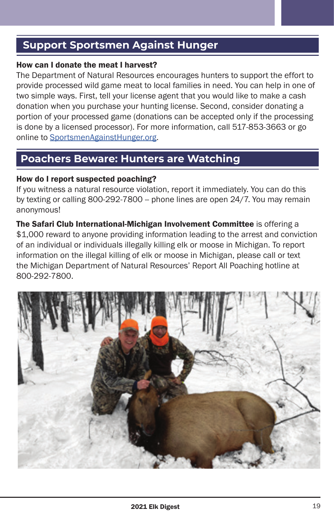# <span id="page-18-0"></span>**Support Sportsmen Against Hunger**

#### How can I donate the meat I harvest?

The Department of Natural Resources encourages hunters to support the effort to provide processed wild game meat to local families in need. You can help in one of two simple ways. First, tell your license agent that you would like to make a cash donation when you purchase your hunting license. Second, consider donating a portion of your processed game (donations can be accepted only if the processing is done by a licensed processor). For more information, call 517-853-3663 or go online to [SportsmenAgainstHunger.org](http://SportsmenAgainstHunger.org).

# **Poachers Beware: Hunters are Watching**

#### How do I report suspected poaching?

If you witness a natural resource violation, report it immediately. You can do this by texting or calling 800-292-7800 -- phone lines are open 24/7. You may remain anonymous!

The Safari Club International-Michigan Involvement Committee is offering a \$1,000 reward to anyone providing information leading to the arrest and conviction of an individual or individuals illegally killing elk or moose in Michigan. To report information on the illegal killing of elk or moose in Michigan, please call or text the Michigan Department of Natural Resources' Report All Poaching hotline at 800-292-7800.